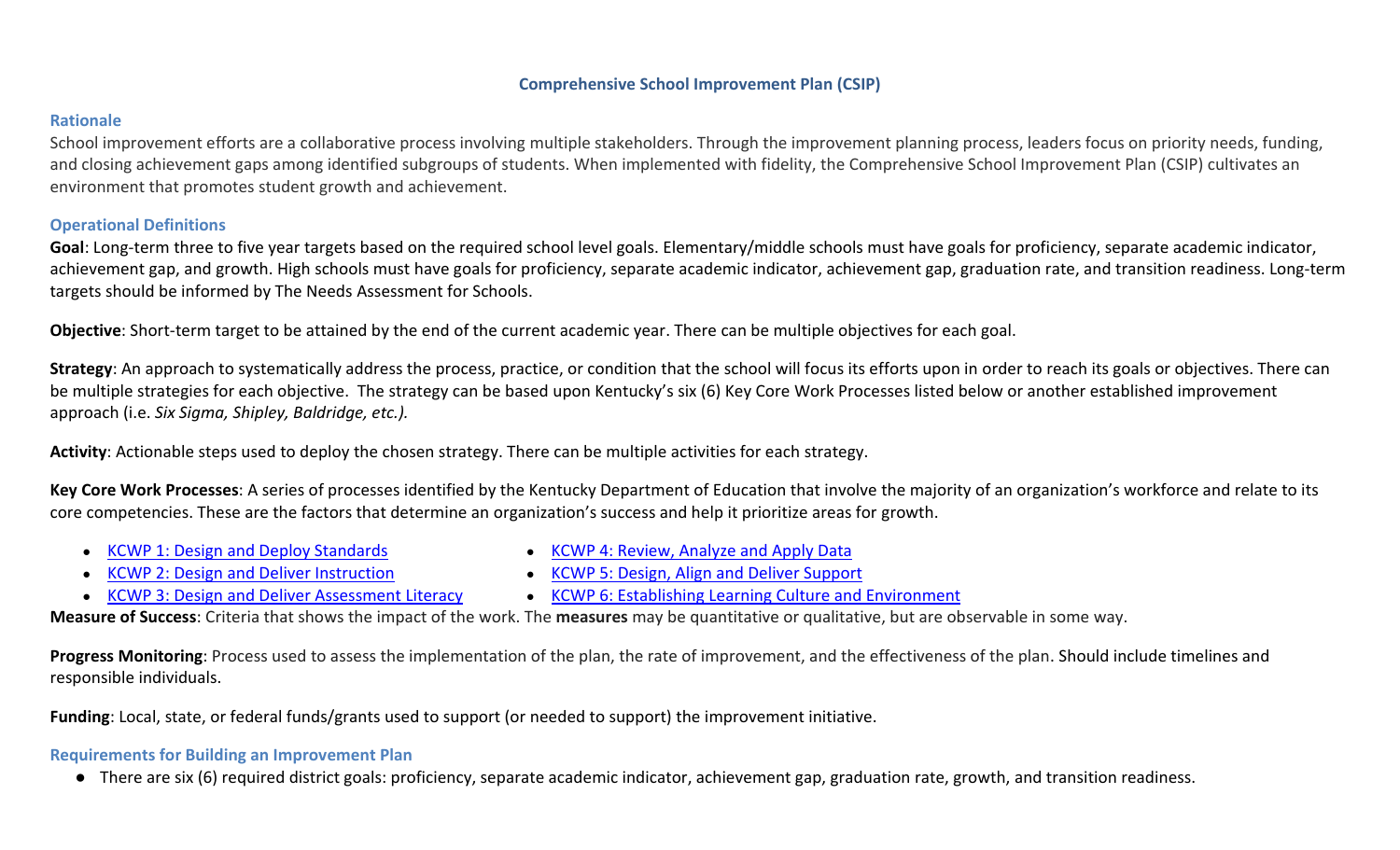### **Comprehensive School Improvement Plan (CSIP)**

### **Rationale**

School improvement efforts are a collaborative process involving multiple stakeholders. Through the improvement planning process, leaders focus on priority needs, funding, and closing achievement gaps among identified subgroups of students. When implemented with fidelity, the Comprehensive School Improvement Plan (CSIP) cultivates an environment that promotes student growth and achievement.

### **Operational Definitions**

Goal: Long-term three to five year targets based on the required school level goals. Elementary/middle schools must have goals for proficiency, separate academic indicator, achievement gap, and growth. High schools must have goals for proficiency, separate academic indicator, achievement gap, graduation rate, and transition readiness. Long-term targets should be informed by The Needs Assessment for Schools.

**Objective**: Short-term target to be attained by the end of the current academic year. There can be multiple objectives for each goal.

**Strategy**: An approach to systematically address the process, practice, or condition that the school will focus its efforts upon in order to reach its goals or objectives. There can be multiple strategies for each objective. The strategy can be based upon Kentucky's six (6) Key Core Work Processes listed below or another established improvement approach (i.e. *Six Sigma, Shipley, Baldridge, etc.).*

**Activity**: Actionable steps used to deploy the chosen strategy. There can be multiple activities for each strategy.

**Key Core Work Processes**: A series of processes identified by the Kentucky Department of Education that involve the majority of an organization's workforce and relate to its core competencies. These are the factors that determine an organization's success and help it prioritize areas for growth.

- [KCWP 1: Design and Deploy Standards](https://education.ky.gov/school/csip/Documents/KCWP%201%20Strategic%20Design%20and%20Deploy%20Standards.pdf)
- **[KCWP 2: Design and Deliver Instruction](https://education.ky.gov/school/csip/Documents/KCWP%202%20Strategic%20Design%20and%20Deliver%20Instruction.pdf)**
- [KCWP 3: Design and Deliver Assessment Literacy](https://education.ky.gov/school/csip/Documents/KCWP%203%20Strategic%20Design%20and%20Deliver%20Assessment%20Literacy.pdf)
- [KCWP 4: Review, Analyze and Apply Data](https://education.ky.gov/school/csip/Documents/KCWP%204%20Strategic%20Review%20Analyze%20and%20Apply%20Data.pdf)
- [KCWP 5: Design, Align and Deliver Support](https://education.ky.gov/school/csip/Documents/KCWP%205%20Strategic%20Design%20Align%20Deliver%20Support%20Processes.pdf)
- [KCWP 6: Establishing Learning Culture and Environment](https://education.ky.gov/school/csip/Documents/KCWP%206%20Strategic%20Establish%20Learning%20Culture%20and%20Environment.pdf)

**Measure of Success**: Criteria that shows the impact of the work. The **measures** may be quantitative or qualitative, but are observable in some way.

Progress Monitoring: Process used to assess the implementation of the plan, the rate of improvement, and the effectiveness of the plan. Should include timelines and responsible individuals.

**Funding**: Local, state, or federal funds/grants used to support (or needed to support) the improvement initiative.

## **Requirements for Building an Improvement Plan**

● There are six (6) required district goals: proficiency, separate academic indicator, achievement gap, graduation rate, growth, and transition readiness.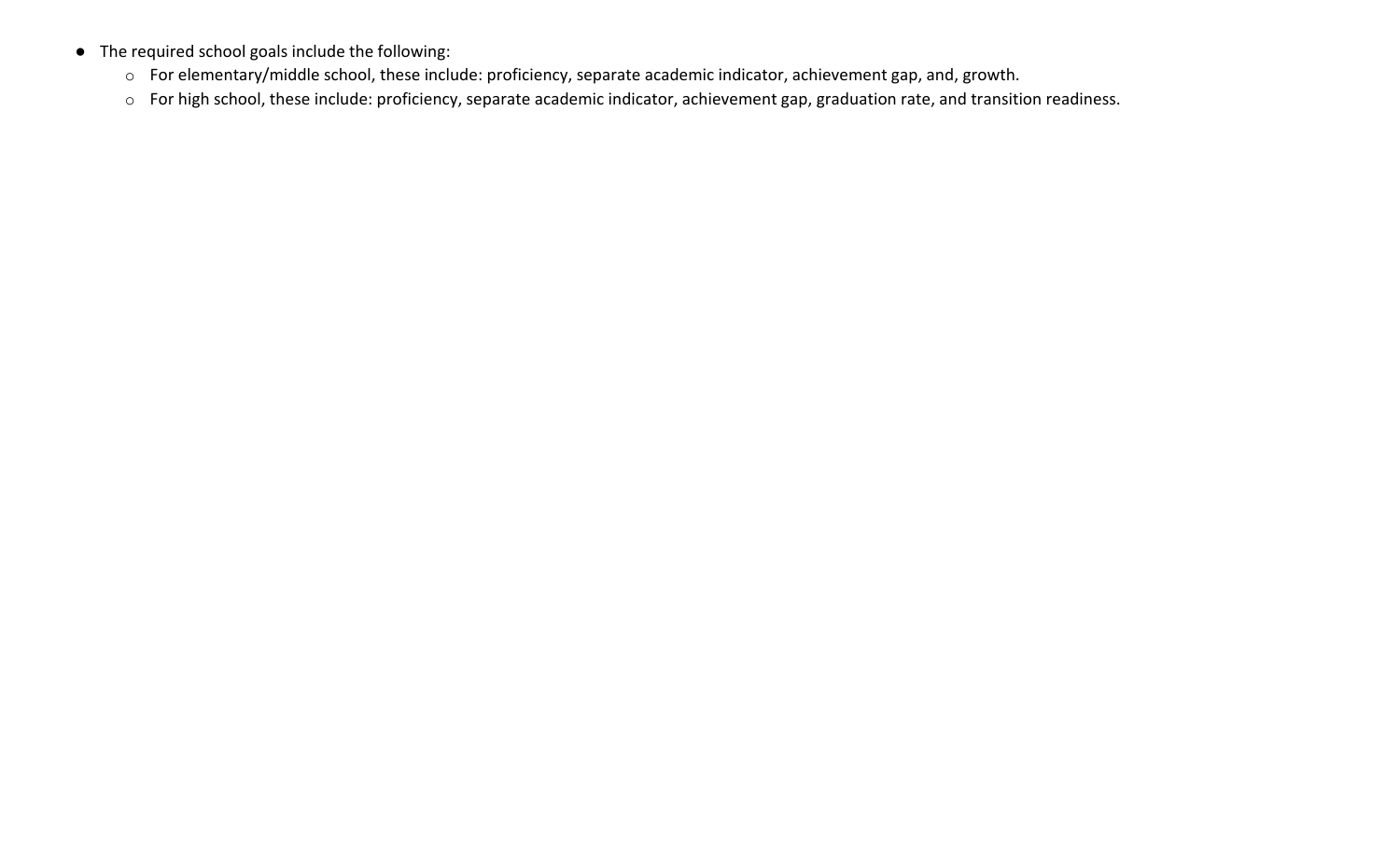- The required school goals include the following:
	- o For elementary/middle school, these include: proficiency, separate academic indicator, achievement gap, and, growth.
	- o For high school, these include: proficiency, separate academic indicator, achievement gap, graduation rate, and transition readiness.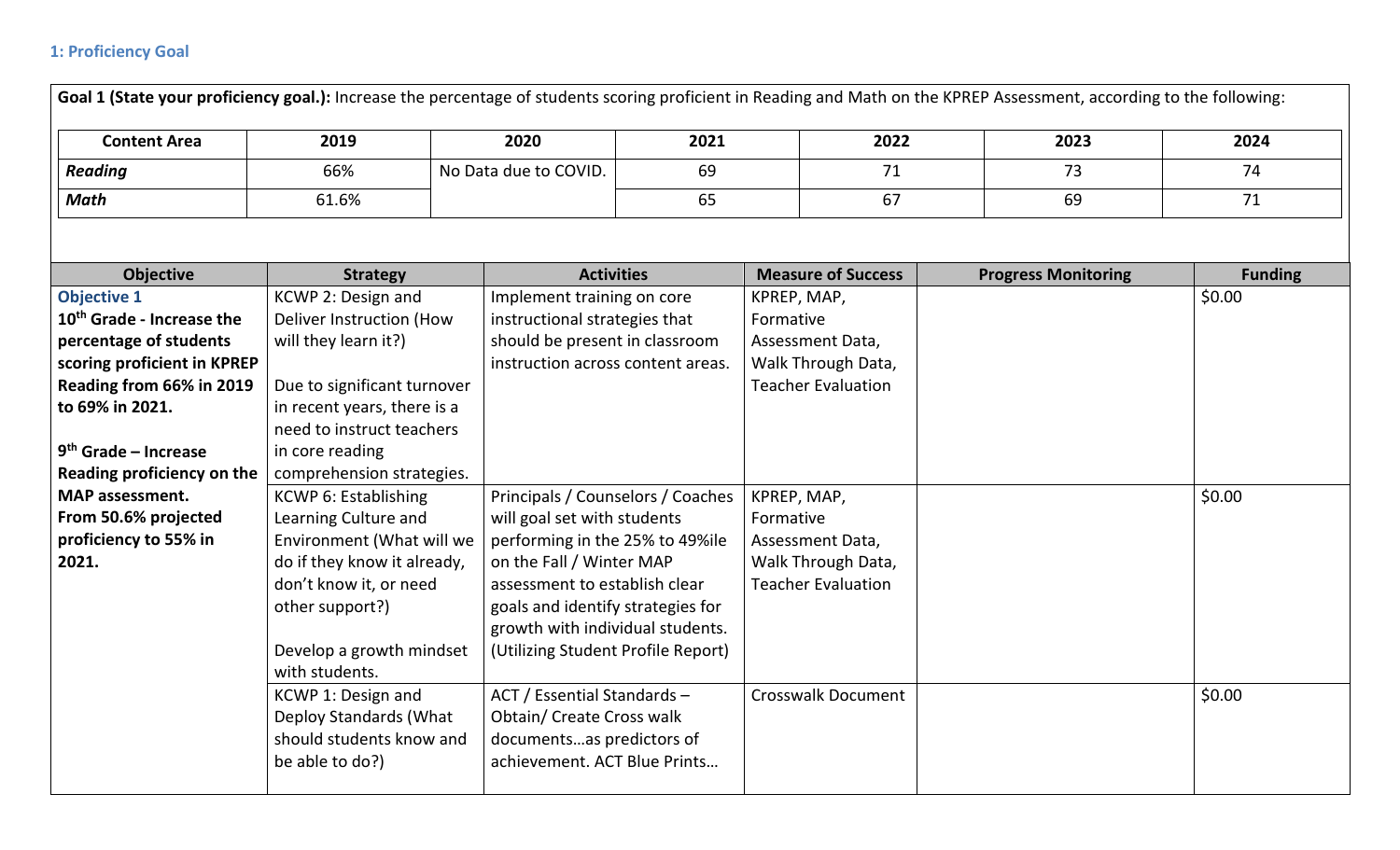# **1: Proficiency Goal**

| <b>Content Area</b>                   | 2019                        | 2020                               | 2021 | 2022                      | 2023                       | 2024           |
|---------------------------------------|-----------------------------|------------------------------------|------|---------------------------|----------------------------|----------------|
| <b>Reading</b>                        | 66%                         | No Data due to COVID.              | 69   | 71                        | 73                         | 74             |
| <b>Math</b>                           | 61.6%                       |                                    | 65   | 67                        | 69                         | 71             |
|                                       |                             |                                    |      |                           |                            |                |
| <b>Objective</b>                      | <b>Strategy</b>             | <b>Activities</b>                  |      | <b>Measure of Success</b> | <b>Progress Monitoring</b> | <b>Funding</b> |
| <b>Objective 1</b>                    | KCWP 2: Design and          | Implement training on core         |      | KPREP, MAP,               |                            | \$0.00         |
| 10 <sup>th</sup> Grade - Increase the | Deliver Instruction (How    | instructional strategies that      |      | Formative                 |                            |                |
| percentage of students                | will they learn it?)        | should be present in classroom     |      | Assessment Data,          |                            |                |
| scoring proficient in KPREP           |                             | instruction across content areas.  |      | Walk Through Data,        |                            |                |
| Reading from 66% in 2019              | Due to significant turnover |                                    |      | <b>Teacher Evaluation</b> |                            |                |
| to 69% in 2021.                       | in recent years, there is a |                                    |      |                           |                            |                |
|                                       | need to instruct teachers   |                                    |      |                           |                            |                |
| $9th$ Grade – Increase                | in core reading             |                                    |      |                           |                            |                |
| Reading proficiency on the            | comprehension strategies.   |                                    |      |                           |                            |                |
| <b>MAP</b> assessment.                | <b>KCWP 6: Establishing</b> | Principals / Counselors / Coaches  |      | KPREP, MAP,               |                            | \$0.00         |
| From 50.6% projected                  | Learning Culture and        | will goal set with students        |      | Formative                 |                            |                |
| proficiency to 55% in                 | Environment (What will we   | performing in the 25% to 49%ile    |      | Assessment Data,          |                            |                |
| 2021.                                 | do if they know it already, | on the Fall / Winter MAP           |      | Walk Through Data,        |                            |                |
|                                       | don't know it, or need      | assessment to establish clear      |      | <b>Teacher Evaluation</b> |                            |                |
|                                       | other support?)             | goals and identify strategies for  |      |                           |                            |                |
|                                       |                             | growth with individual students.   |      |                           |                            |                |
|                                       | Develop a growth mindset    | (Utilizing Student Profile Report) |      |                           |                            |                |
|                                       | with students.              |                                    |      |                           |                            |                |
|                                       | KCWP 1: Design and          | ACT / Essential Standards -        |      | <b>Crosswalk Document</b> |                            | \$0.00         |
|                                       | Deploy Standards (What      | <b>Obtain/ Create Cross walk</b>   |      |                           |                            |                |
|                                       | should students know and    | documentsas predictors of          |      |                           |                            |                |
|                                       | be able to do?)             | achievement. ACT Blue Prints       |      |                           |                            |                |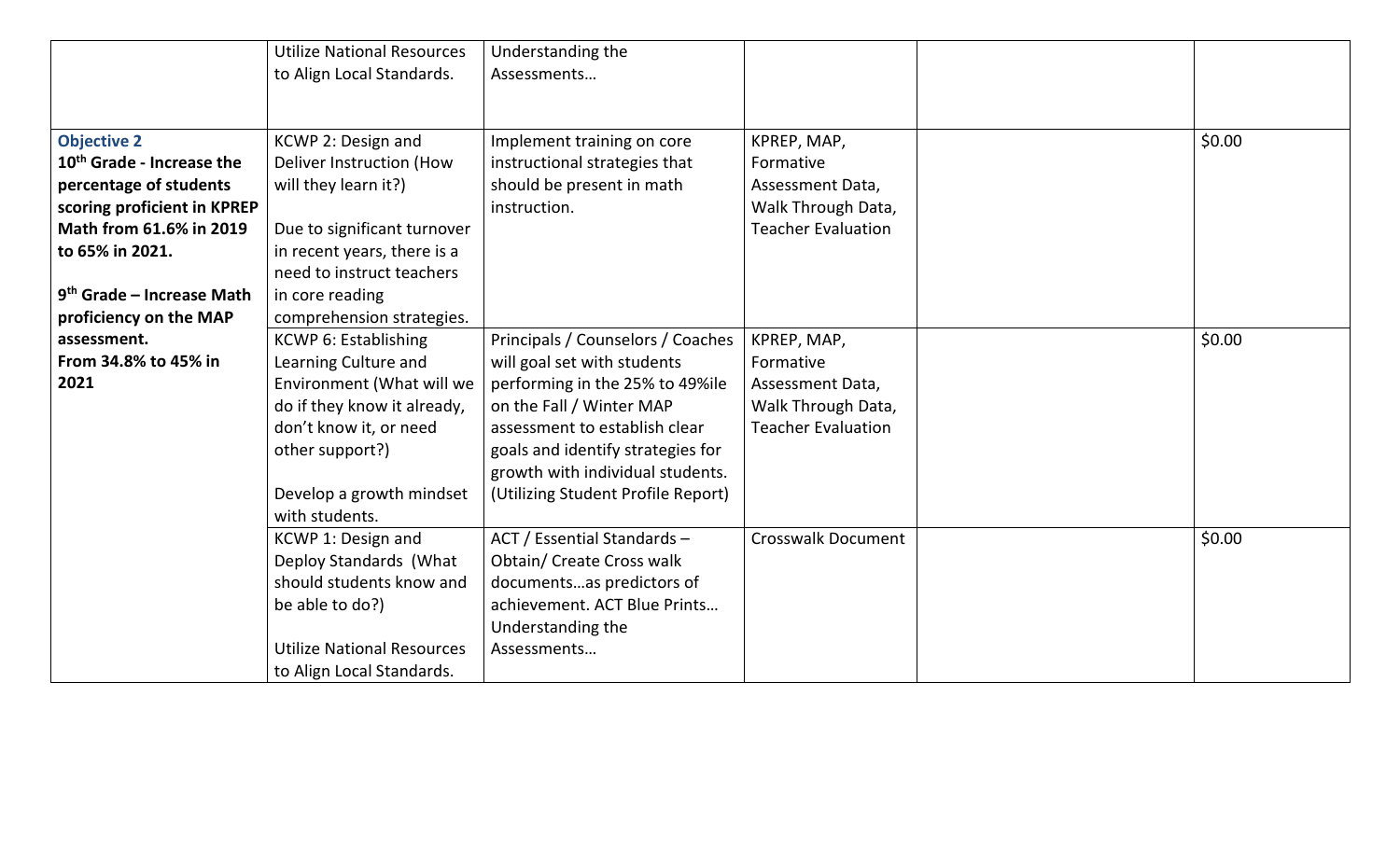|                                       | <b>Utilize National Resources</b> | Understanding the                  |                           |        |
|---------------------------------------|-----------------------------------|------------------------------------|---------------------------|--------|
|                                       | to Align Local Standards.         | Assessments                        |                           |        |
|                                       |                                   |                                    |                           |        |
|                                       |                                   |                                    |                           | \$0.00 |
| <b>Objective 2</b>                    | KCWP 2: Design and                | Implement training on core         | KPREP, MAP,               |        |
| 10 <sup>th</sup> Grade - Increase the | Deliver Instruction (How          | instructional strategies that      | Formative                 |        |
| percentage of students                | will they learn it?)              | should be present in math          | Assessment Data,          |        |
| scoring proficient in KPREP           |                                   | instruction.                       | Walk Through Data,        |        |
| Math from 61.6% in 2019               | Due to significant turnover       |                                    | <b>Teacher Evaluation</b> |        |
| to 65% in 2021.                       | in recent years, there is a       |                                    |                           |        |
|                                       | need to instruct teachers         |                                    |                           |        |
| $9th$ Grade – Increase Math           | in core reading                   |                                    |                           |        |
| proficiency on the MAP                | comprehension strategies.         |                                    |                           |        |
| assessment.                           | <b>KCWP 6: Establishing</b>       | Principals / Counselors / Coaches  | KPREP, MAP,               | \$0.00 |
| From 34.8% to 45% in                  | Learning Culture and              | will goal set with students        | Formative                 |        |
| 2021                                  | Environment (What will we         | performing in the 25% to 49%ile    | Assessment Data,          |        |
|                                       | do if they know it already,       | on the Fall / Winter MAP           | Walk Through Data,        |        |
|                                       | don't know it, or need            | assessment to establish clear      | <b>Teacher Evaluation</b> |        |
|                                       | other support?)                   | goals and identify strategies for  |                           |        |
|                                       |                                   | growth with individual students.   |                           |        |
|                                       | Develop a growth mindset          | (Utilizing Student Profile Report) |                           |        |
|                                       | with students.                    |                                    |                           |        |
|                                       | KCWP 1: Design and                | ACT / Essential Standards -        | <b>Crosswalk Document</b> | \$0.00 |
|                                       | Deploy Standards (What            | Obtain/ Create Cross walk          |                           |        |
|                                       | should students know and          | documentsas predictors of          |                           |        |
|                                       | be able to do?)                   | achievement. ACT Blue Prints       |                           |        |
|                                       |                                   | Understanding the                  |                           |        |
|                                       | <b>Utilize National Resources</b> | Assessments                        |                           |        |
|                                       | to Align Local Standards.         |                                    |                           |        |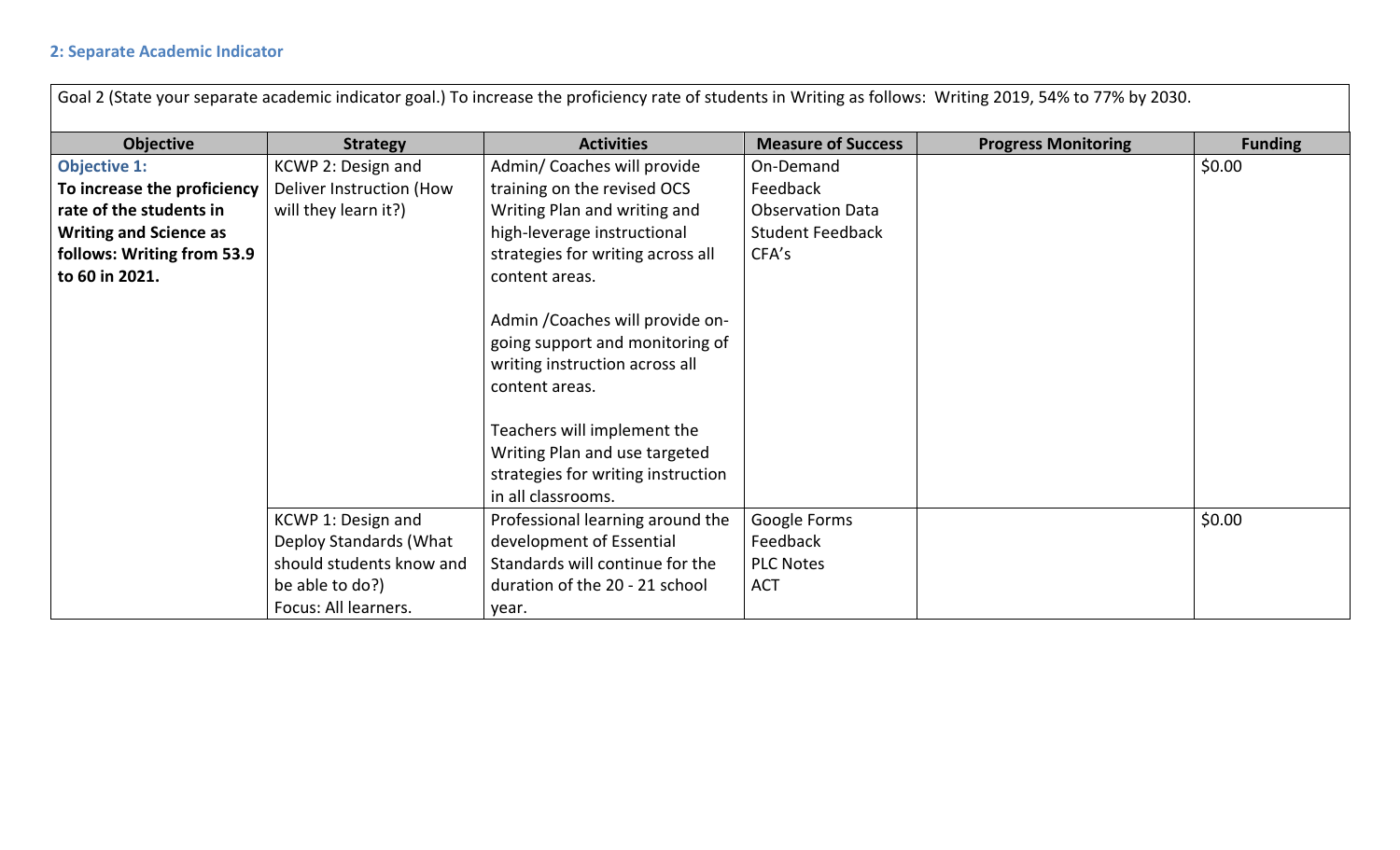|                               |                          |                                                                                                                                                                                         |                           | Goal 2 (State your separate academic indicator goal.) To increase the proficiency rate of students in Writing as follows: Writing 2019, 54% to 77% by 2030. |                |
|-------------------------------|--------------------------|-----------------------------------------------------------------------------------------------------------------------------------------------------------------------------------------|---------------------------|-------------------------------------------------------------------------------------------------------------------------------------------------------------|----------------|
| <b>Objective</b>              | <b>Strategy</b>          | <b>Activities</b>                                                                                                                                                                       | <b>Measure of Success</b> | <b>Progress Monitoring</b>                                                                                                                                  | <b>Funding</b> |
| <b>Objective 1:</b>           | KCWP 2: Design and       | Admin/Coaches will provide                                                                                                                                                              | On-Demand                 |                                                                                                                                                             | \$0.00         |
| To increase the proficiency   | Deliver Instruction (How | training on the revised OCS                                                                                                                                                             | Feedback                  |                                                                                                                                                             |                |
| rate of the students in       | will they learn it?)     | Writing Plan and writing and                                                                                                                                                            | <b>Observation Data</b>   |                                                                                                                                                             |                |
| <b>Writing and Science as</b> |                          | high-leverage instructional                                                                                                                                                             | <b>Student Feedback</b>   |                                                                                                                                                             |                |
| follows: Writing from 53.9    |                          | strategies for writing across all                                                                                                                                                       | CFA's                     |                                                                                                                                                             |                |
| to 60 in 2021.                |                          | content areas.                                                                                                                                                                          |                           |                                                                                                                                                             |                |
|                               |                          | Admin / Coaches will provide on-<br>going support and monitoring of<br>writing instruction across all<br>content areas.<br>Teachers will implement the<br>Writing Plan and use targeted |                           |                                                                                                                                                             |                |
|                               |                          | strategies for writing instruction<br>in all classrooms.                                                                                                                                |                           |                                                                                                                                                             |                |
|                               | KCWP 1: Design and       | Professional learning around the                                                                                                                                                        | Google Forms              |                                                                                                                                                             | \$0.00         |
|                               | Deploy Standards (What   | development of Essential                                                                                                                                                                | Feedback                  |                                                                                                                                                             |                |
|                               | should students know and | Standards will continue for the                                                                                                                                                         | <b>PLC Notes</b>          |                                                                                                                                                             |                |
|                               | be able to do?)          | duration of the 20 - 21 school                                                                                                                                                          | <b>ACT</b>                |                                                                                                                                                             |                |
|                               | Focus: All learners.     | year.                                                                                                                                                                                   |                           |                                                                                                                                                             |                |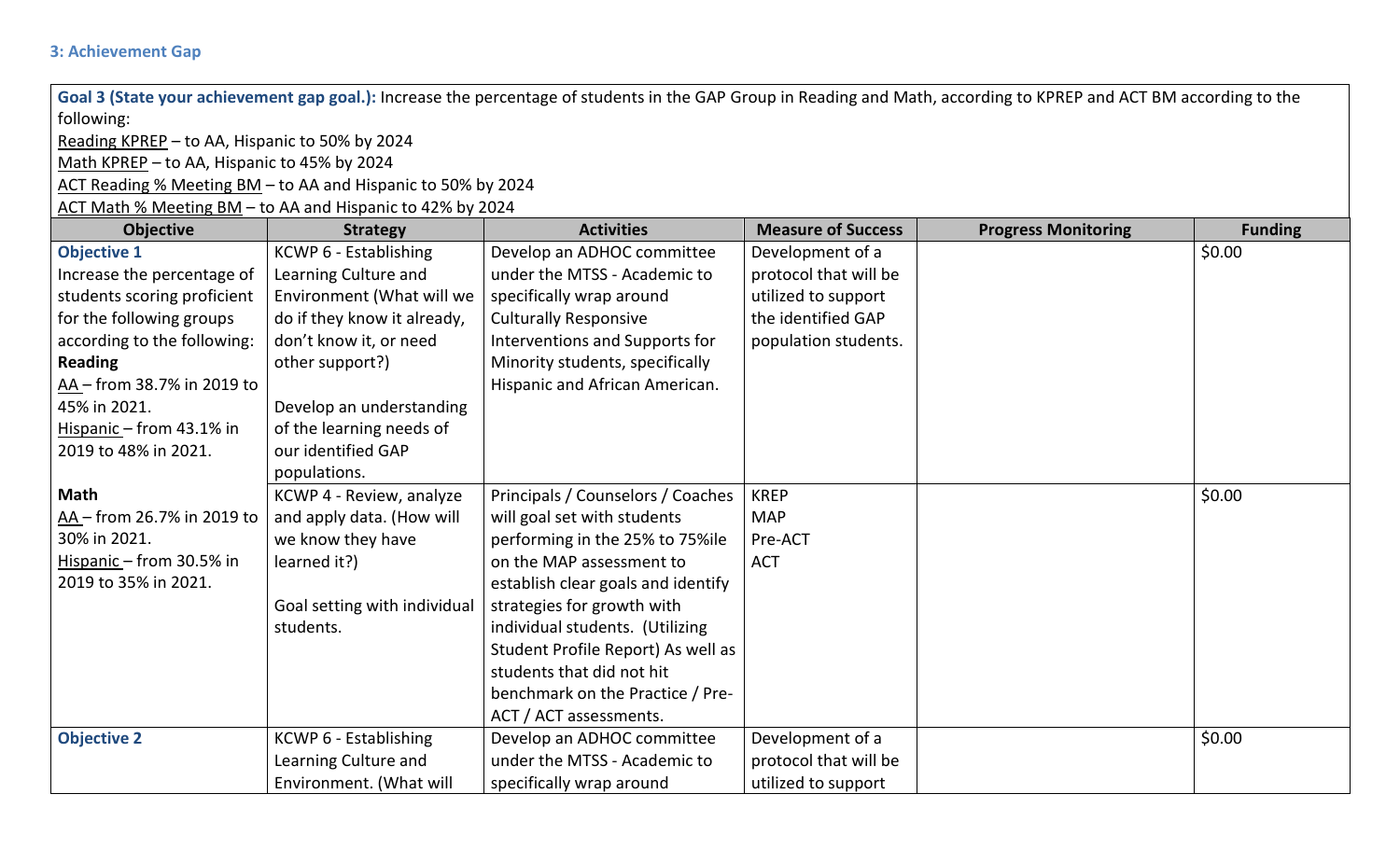## **3: Achievement Gap**

**Goal 3 (State your achievement gap goal.):** Increase the percentage of students in the GAP Group in Reading and Math, according to KPREP and ACT BM according to the following:

Reading KPREP – to AA, Hispanic to 50% by 2024

Math KPREP – to AA, Hispanic to 45% by 2024

ACT Reading % Meeting BM – to AA and Hispanic to 50% by 2024

ACT Math % Meeting BM – to AA and Hispanic to 42% by 2024

| <b>Objective</b>            | <b>Strategy</b>              | <b>Activities</b>                  | <b>Measure of Success</b> | <b>Progress Monitoring</b> | <b>Funding</b> |
|-----------------------------|------------------------------|------------------------------------|---------------------------|----------------------------|----------------|
| <b>Objective 1</b>          | KCWP 6 - Establishing        | Develop an ADHOC committee         | Development of a          |                            | \$0.00         |
| Increase the percentage of  | Learning Culture and         | under the MTSS - Academic to       | protocol that will be     |                            |                |
| students scoring proficient | Environment (What will we    | specifically wrap around           | utilized to support       |                            |                |
| for the following groups    | do if they know it already,  | <b>Culturally Responsive</b>       | the identified GAP        |                            |                |
| according to the following: | don't know it, or need       | Interventions and Supports for     | population students.      |                            |                |
| <b>Reading</b>              | other support?)              | Minority students, specifically    |                           |                            |                |
| AA - from 38.7% in 2019 to  |                              | Hispanic and African American.     |                           |                            |                |
| 45% in 2021.                | Develop an understanding     |                                    |                           |                            |                |
| Hispanic - from 43.1% in    | of the learning needs of     |                                    |                           |                            |                |
| 2019 to 48% in 2021.        | our identified GAP           |                                    |                           |                            |                |
|                             | populations.                 |                                    |                           |                            |                |
| <b>Math</b>                 | KCWP 4 - Review, analyze     | Principals / Counselors / Coaches  | <b>KREP</b>               |                            | \$0.00         |
| AA - from 26.7% in 2019 to  | and apply data. (How will    | will goal set with students        | <b>MAP</b>                |                            |                |
| 30% in 2021.                | we know they have            | performing in the 25% to 75%ile    | Pre-ACT                   |                            |                |
| Hispanic - from 30.5% in    | learned it?)                 | on the MAP assessment to           | <b>ACT</b>                |                            |                |
| 2019 to 35% in 2021.        |                              | establish clear goals and identify |                           |                            |                |
|                             | Goal setting with individual | strategies for growth with         |                           |                            |                |
|                             | students.                    | individual students. (Utilizing    |                           |                            |                |
|                             |                              | Student Profile Report) As well as |                           |                            |                |
|                             |                              | students that did not hit          |                           |                            |                |
|                             |                              | benchmark on the Practice / Pre-   |                           |                            |                |
|                             |                              | ACT / ACT assessments.             |                           |                            |                |
| <b>Objective 2</b>          | KCWP 6 - Establishing        | Develop an ADHOC committee         | Development of a          |                            | \$0.00         |
|                             | Learning Culture and         | under the MTSS - Academic to       | protocol that will be     |                            |                |
|                             | Environment. (What will      | specifically wrap around           | utilized to support       |                            |                |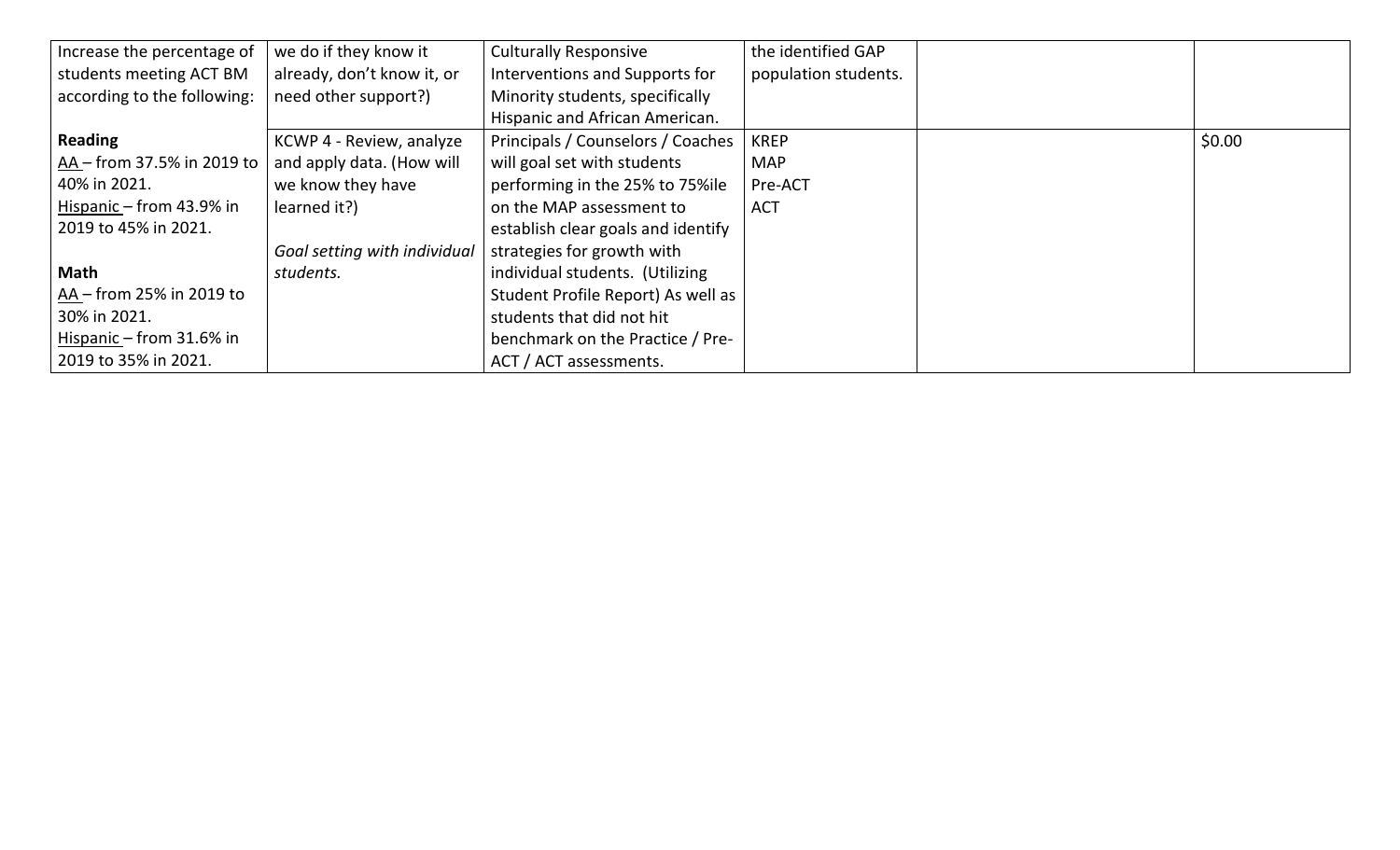| Increase the percentage of  | we do if they know it        | <b>Culturally Responsive</b>       | the identified GAP   |        |
|-----------------------------|------------------------------|------------------------------------|----------------------|--------|
| students meeting ACT BM     | already, don't know it, or   | Interventions and Supports for     | population students. |        |
| according to the following: | need other support?)         | Minority students, specifically    |                      |        |
|                             |                              | Hispanic and African American.     |                      |        |
| Reading                     | KCWP 4 - Review, analyze     | Principals / Counselors / Coaches  | <b>KREP</b>          | \$0.00 |
| AA – from 37.5% in 2019 to  | and apply data. (How will    | will goal set with students        | <b>MAP</b>           |        |
| 40% in 2021.                | we know they have            | performing in the 25% to 75%ile    | Pre-ACT              |        |
| Hispanic – from 43.9% in    | learned it?)                 | on the MAP assessment to           | <b>ACT</b>           |        |
| 2019 to 45% in 2021.        |                              | establish clear goals and identify |                      |        |
|                             | Goal setting with individual | strategies for growth with         |                      |        |
| Math                        | students.                    | individual students. (Utilizing    |                      |        |
| AA – from 25% in 2019 to    |                              | Student Profile Report) As well as |                      |        |
| 30% in 2021.                |                              | students that did not hit          |                      |        |
| Hispanic – from 31.6% in    |                              | benchmark on the Practice / Pre-   |                      |        |
| 2019 to 35% in 2021.        |                              | ACT / ACT assessments.             |                      |        |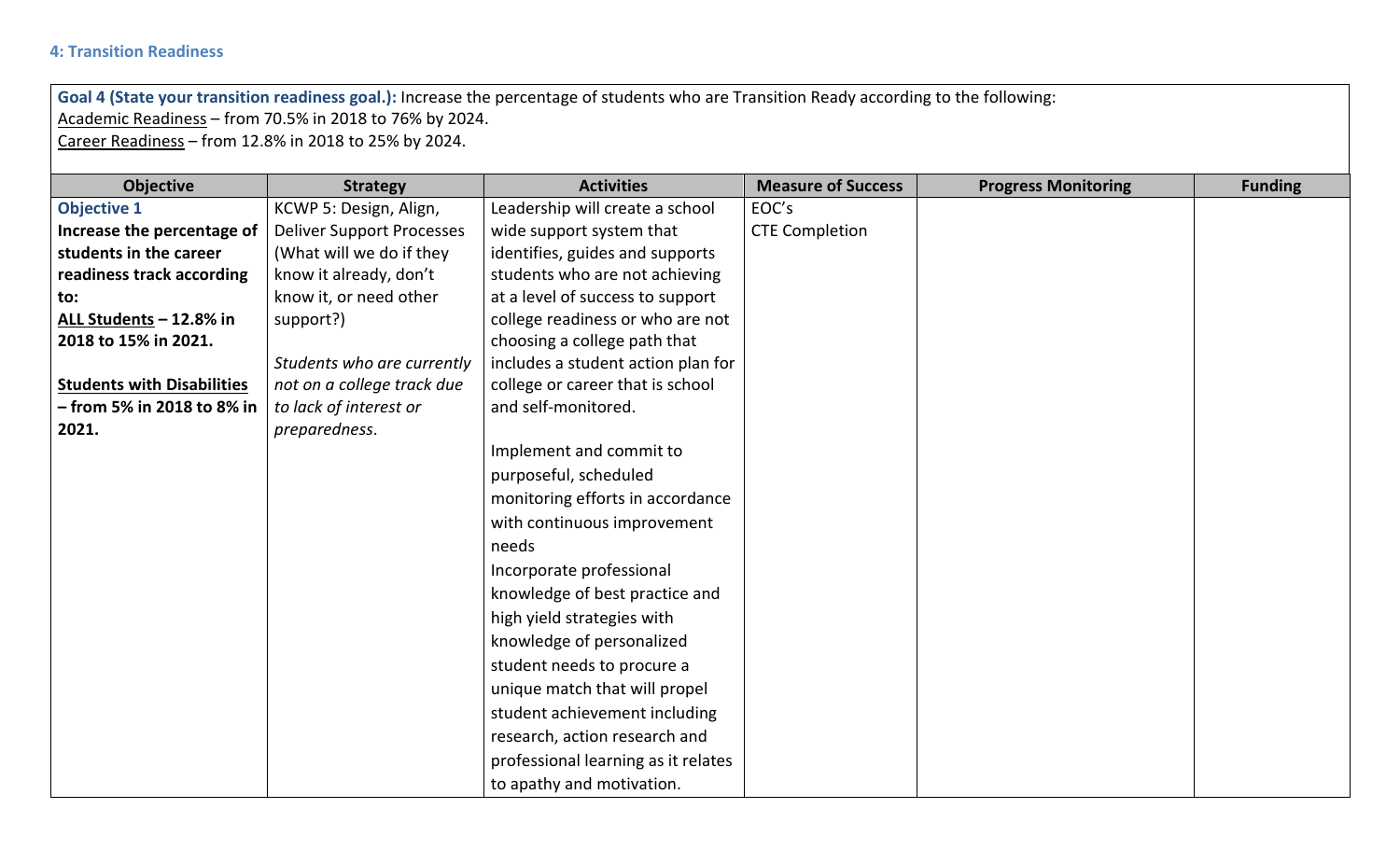# **4: Transition Readiness**

**Goal 4 (State your transition readiness goal.):** Increase the percentage of students who are Transition Ready according to the following: Academic Readiness – from 70.5% in 2018 to 76% by 2024. Career Readiness – from 12.8% in 2018 to 25% by 2024.

| <b>Objective</b>                  | <b>Strategy</b>                  | <b>Activities</b>                   | <b>Measure of Success</b> | <b>Progress Monitoring</b> | <b>Funding</b> |
|-----------------------------------|----------------------------------|-------------------------------------|---------------------------|----------------------------|----------------|
| <b>Objective 1</b>                | KCWP 5: Design, Align,           | Leadership will create a school     | EOC's                     |                            |                |
| Increase the percentage of        | <b>Deliver Support Processes</b> | wide support system that            | <b>CTE Completion</b>     |                            |                |
| students in the career            | (What will we do if they         | identifies, guides and supports     |                           |                            |                |
| readiness track according         | know it already, don't           | students who are not achieving      |                           |                            |                |
| to:                               | know it, or need other           | at a level of success to support    |                           |                            |                |
| ALL Students - 12.8% in           | support?)                        | college readiness or who are not    |                           |                            |                |
| 2018 to 15% in 2021.              |                                  | choosing a college path that        |                           |                            |                |
|                                   | Students who are currently       | includes a student action plan for  |                           |                            |                |
| <b>Students with Disabilities</b> | not on a college track due       | college or career that is school    |                           |                            |                |
| – from 5% in 2018 to 8% in        | to lack of interest or           | and self-monitored.                 |                           |                            |                |
| 2021.                             | preparedness.                    |                                     |                           |                            |                |
|                                   |                                  | Implement and commit to             |                           |                            |                |
|                                   |                                  | purposeful, scheduled               |                           |                            |                |
|                                   |                                  | monitoring efforts in accordance    |                           |                            |                |
|                                   |                                  | with continuous improvement         |                           |                            |                |
|                                   |                                  | needs                               |                           |                            |                |
|                                   |                                  | Incorporate professional            |                           |                            |                |
|                                   |                                  | knowledge of best practice and      |                           |                            |                |
|                                   |                                  | high yield strategies with          |                           |                            |                |
|                                   |                                  | knowledge of personalized           |                           |                            |                |
|                                   |                                  | student needs to procure a          |                           |                            |                |
|                                   |                                  | unique match that will propel       |                           |                            |                |
|                                   |                                  | student achievement including       |                           |                            |                |
|                                   |                                  | research, action research and       |                           |                            |                |
|                                   |                                  | professional learning as it relates |                           |                            |                |
|                                   |                                  | to apathy and motivation.           |                           |                            |                |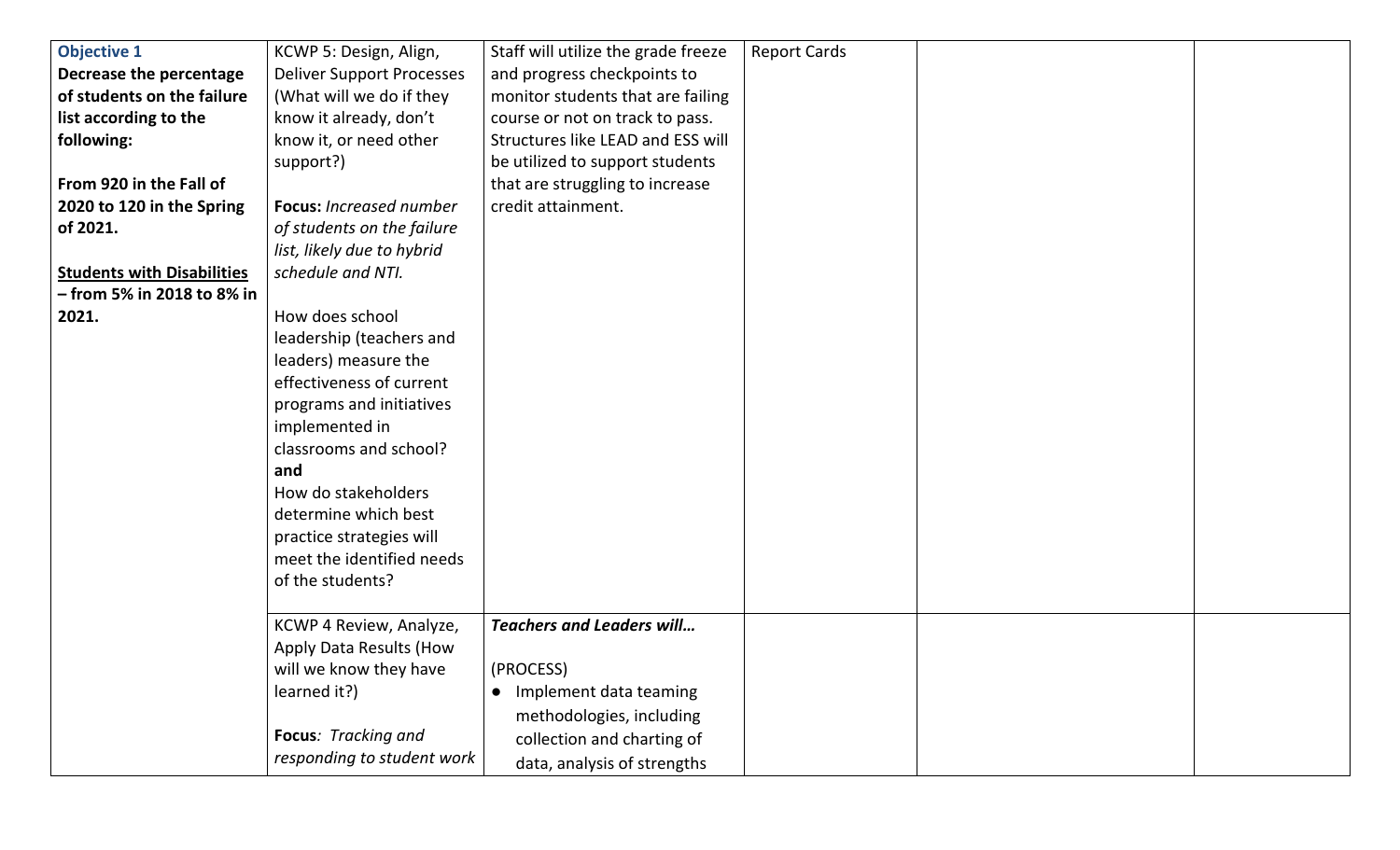| <b>Objective 1</b>                | KCWP 5: Design, Align,           | Staff will utilize the grade freeze | <b>Report Cards</b> |  |
|-----------------------------------|----------------------------------|-------------------------------------|---------------------|--|
| Decrease the percentage           | <b>Deliver Support Processes</b> | and progress checkpoints to         |                     |  |
| of students on the failure        | (What will we do if they         | monitor students that are failing   |                     |  |
| list according to the             | know it already, don't           | course or not on track to pass.     |                     |  |
| following:                        | know it, or need other           | Structures like LEAD and ESS will   |                     |  |
|                                   | support?)                        | be utilized to support students     |                     |  |
| From 920 in the Fall of           |                                  | that are struggling to increase     |                     |  |
| 2020 to 120 in the Spring         | <b>Focus: Increased number</b>   | credit attainment.                  |                     |  |
| of 2021.                          | of students on the failure       |                                     |                     |  |
|                                   | list, likely due to hybrid       |                                     |                     |  |
| <b>Students with Disabilities</b> | schedule and NTI.                |                                     |                     |  |
| – from 5% in 2018 to 8% in        |                                  |                                     |                     |  |
| 2021.                             | How does school                  |                                     |                     |  |
|                                   | leadership (teachers and         |                                     |                     |  |
|                                   | leaders) measure the             |                                     |                     |  |
|                                   | effectiveness of current         |                                     |                     |  |
|                                   | programs and initiatives         |                                     |                     |  |
|                                   | implemented in                   |                                     |                     |  |
|                                   | classrooms and school?           |                                     |                     |  |
|                                   | and                              |                                     |                     |  |
|                                   | How do stakeholders              |                                     |                     |  |
|                                   | determine which best             |                                     |                     |  |
|                                   | practice strategies will         |                                     |                     |  |
|                                   | meet the identified needs        |                                     |                     |  |
|                                   | of the students?                 |                                     |                     |  |
|                                   |                                  |                                     |                     |  |
|                                   | KCWP 4 Review, Analyze,          | <b>Teachers and Leaders will</b>    |                     |  |
|                                   | Apply Data Results (How          |                                     |                     |  |
|                                   | will we know they have           | (PROCESS)                           |                     |  |
|                                   | learned it?)                     | Implement data teaming<br>$\bullet$ |                     |  |
|                                   |                                  | methodologies, including            |                     |  |
|                                   | Focus: Tracking and              | collection and charting of          |                     |  |
|                                   | responding to student work       | data, analysis of strengths         |                     |  |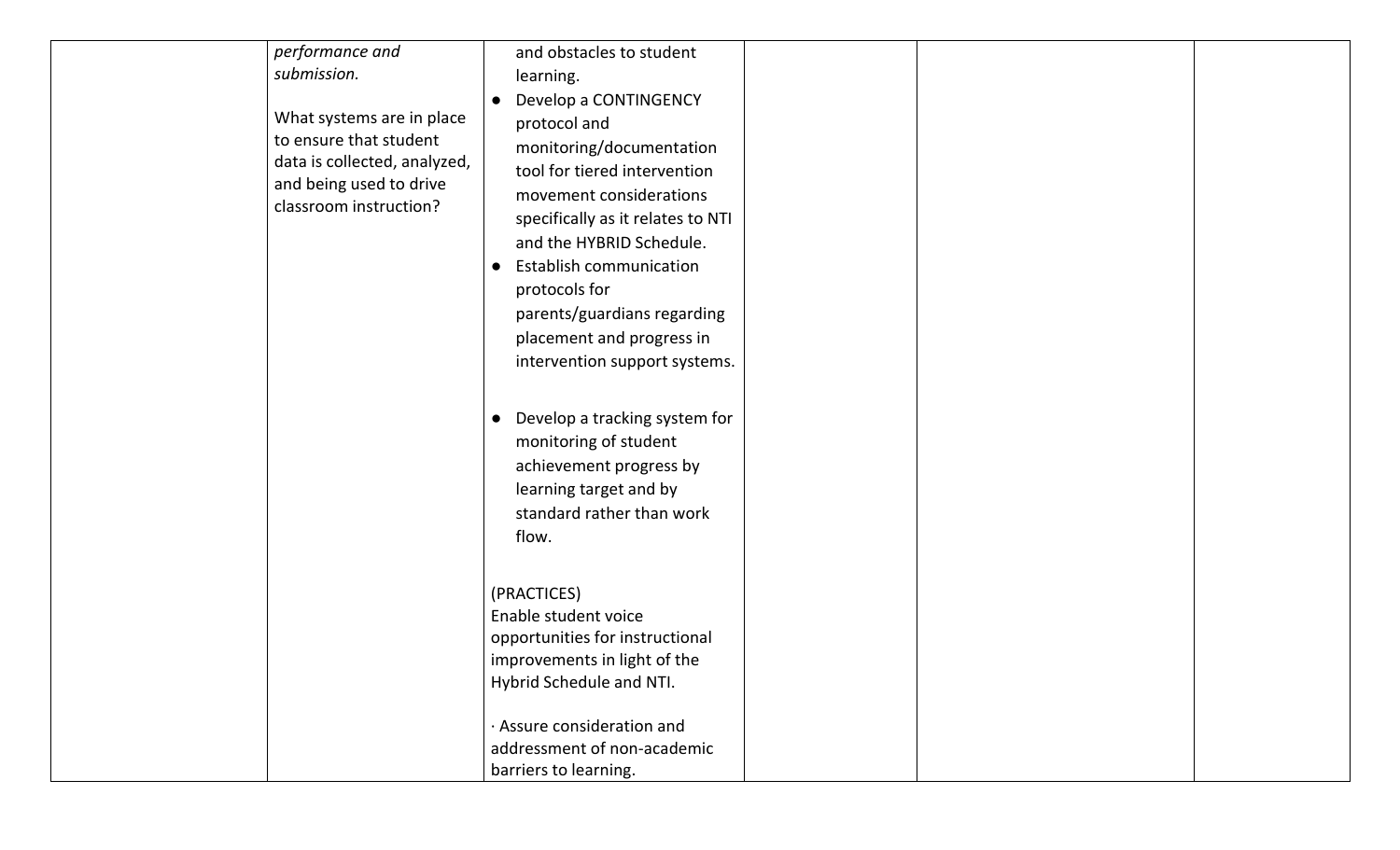| performance and<br>submission.<br>What systems are in place<br>to ensure that student<br>data is collected, analyzed,<br>and being used to drive<br>classroom instruction? | and obstacles to student<br>learning.<br>Develop a CONTINGENCY<br>$\bullet$<br>protocol and<br>monitoring/documentation<br>tool for tiered intervention<br>movement considerations<br>specifically as it relates to NTI<br>and the HYBRID Schedule.<br><b>Establish communication</b><br>$\bullet$<br>protocols for<br>parents/guardians regarding<br>placement and progress in<br>intervention support systems. |  |  |
|----------------------------------------------------------------------------------------------------------------------------------------------------------------------------|------------------------------------------------------------------------------------------------------------------------------------------------------------------------------------------------------------------------------------------------------------------------------------------------------------------------------------------------------------------------------------------------------------------|--|--|
|                                                                                                                                                                            | Develop a tracking system for<br>$\bullet$<br>monitoring of student<br>achievement progress by<br>learning target and by<br>standard rather than work<br>flow.                                                                                                                                                                                                                                                   |  |  |
|                                                                                                                                                                            | (PRACTICES)<br>Enable student voice<br>opportunities for instructional<br>improvements in light of the<br>Hybrid Schedule and NTI.<br>· Assure consideration and<br>addressment of non-academic<br>barriers to learning.                                                                                                                                                                                         |  |  |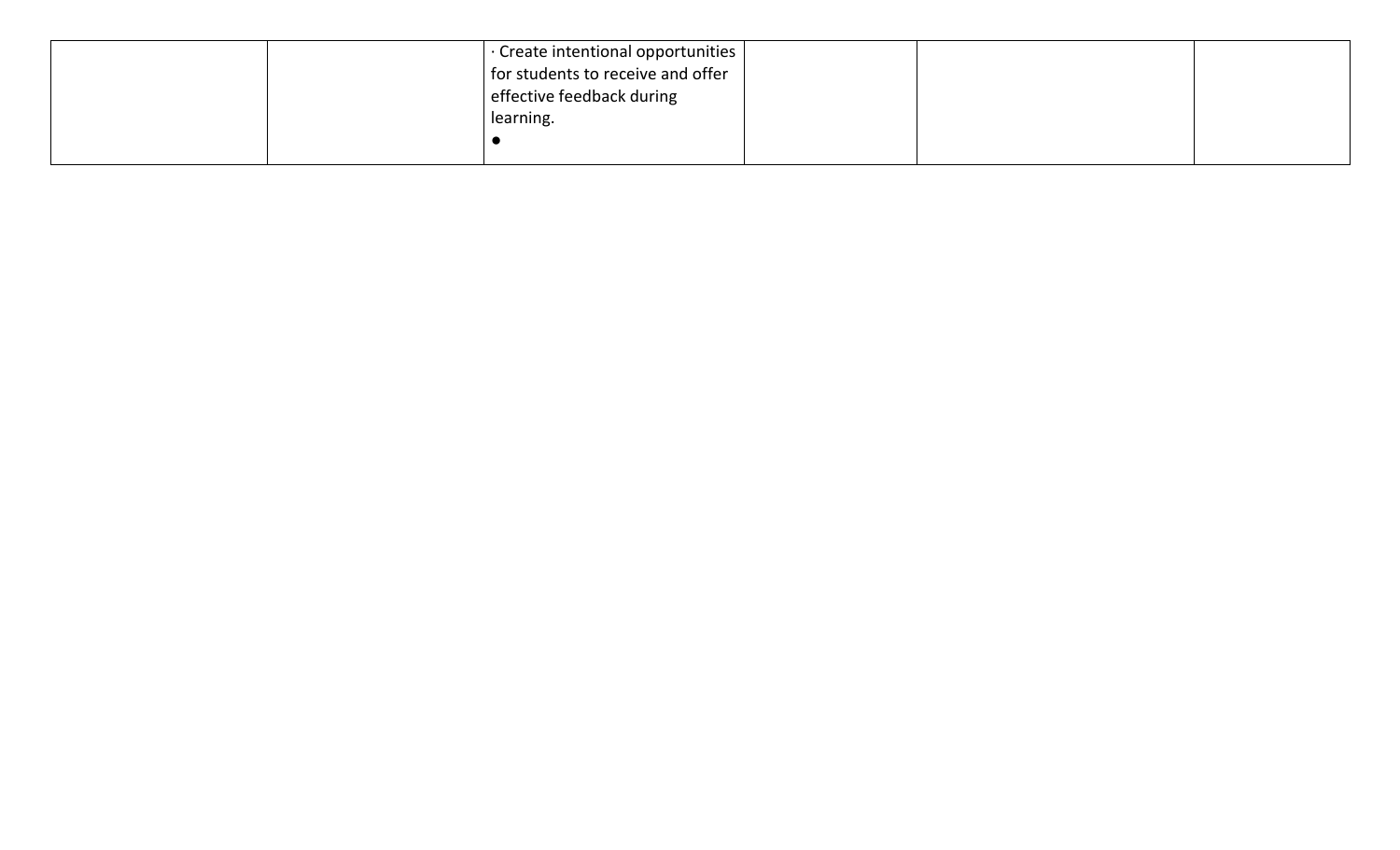| Create intentional opportunities  |  |
|-----------------------------------|--|
| for students to receive and offer |  |
| effective feedback during         |  |
| learning.                         |  |
|                                   |  |
|                                   |  |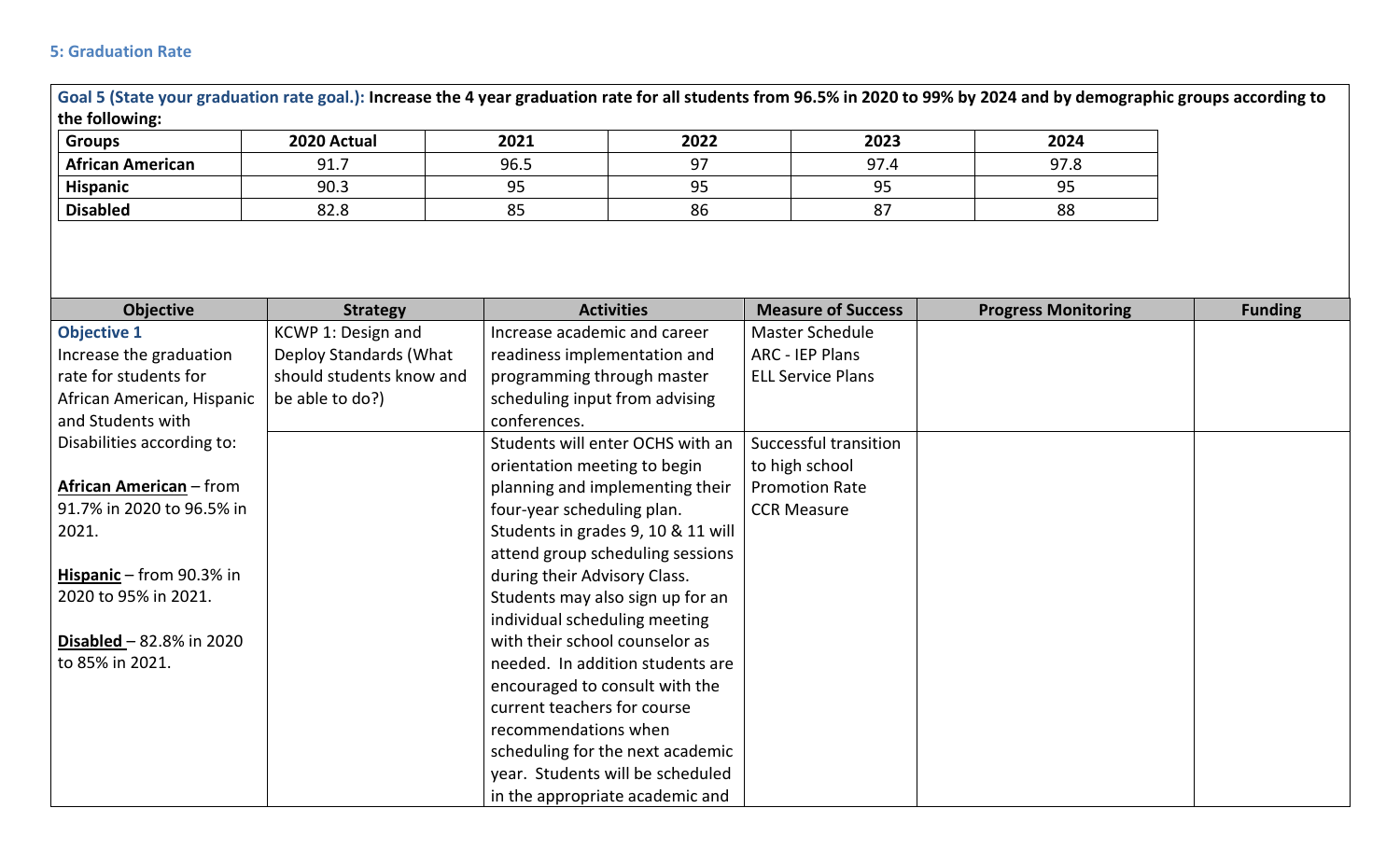# **5: Graduation Rate**

**Goal 5 (State your graduation rate goal.): Increase the 4 year graduation rate for all students from 96.5% in 2020 to 99% by 2024 and by demographic groups according to the following:** 

| <b>Groups</b>           | 2020 Actual        | 2021            | 2022     | 2023 | 2024 |
|-------------------------|--------------------|-----------------|----------|------|------|
| <b>African American</b> | ົ^ 1<br><b>.</b> ، | 96.5            | ດ¬       | 07   | 97.8 |
| <b>Hispanic</b>         | 90.3               | --              | ∩г<br>-- |      | --   |
| <b>Disabled</b>         | $\sim$<br>02.0     | <u>__</u><br>၀၁ | 86       | ັ    | 88   |

| <b>Objective</b>               | <b>Strategy</b>          | <b>Activities</b>                  | <b>Measure of Success</b> | <b>Progress Monitoring</b> | <b>Funding</b> |
|--------------------------------|--------------------------|------------------------------------|---------------------------|----------------------------|----------------|
| <b>Objective 1</b>             | KCWP 1: Design and       | Increase academic and career       | <b>Master Schedule</b>    |                            |                |
| Increase the graduation        | Deploy Standards (What   | readiness implementation and       | ARC - IEP Plans           |                            |                |
| rate for students for          | should students know and | programming through master         | <b>ELL Service Plans</b>  |                            |                |
| African American, Hispanic     | be able to do?)          | scheduling input from advising     |                           |                            |                |
| and Students with              |                          | conferences.                       |                           |                            |                |
| Disabilities according to:     |                          | Students will enter OCHS with an   | Successful transition     |                            |                |
|                                |                          | orientation meeting to begin       | to high school            |                            |                |
| <b>African American</b> – from |                          | planning and implementing their    | <b>Promotion Rate</b>     |                            |                |
| 91.7% in 2020 to 96.5% in      |                          | four-year scheduling plan.         | <b>CCR Measure</b>        |                            |                |
| 2021.                          |                          | Students in grades 9, 10 & 11 will |                           |                            |                |
|                                |                          | attend group scheduling sessions   |                           |                            |                |
| Hispanic – from 90.3% in       |                          | during their Advisory Class.       |                           |                            |                |
| 2020 to 95% in 2021.           |                          | Students may also sign up for an   |                           |                            |                |
|                                |                          | individual scheduling meeting      |                           |                            |                |
| Disabled - 82.8% in 2020       |                          | with their school counselor as     |                           |                            |                |
| to 85% in 2021.                |                          | needed. In addition students are   |                           |                            |                |
|                                |                          | encouraged to consult with the     |                           |                            |                |
|                                |                          | current teachers for course        |                           |                            |                |
|                                |                          | recommendations when               |                           |                            |                |
|                                |                          | scheduling for the next academic   |                           |                            |                |
|                                |                          | year. Students will be scheduled   |                           |                            |                |
|                                |                          | in the appropriate academic and    |                           |                            |                |